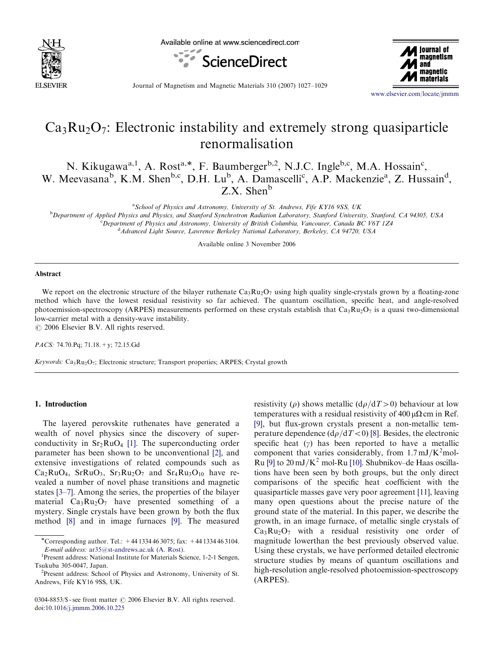

Available online at www.sciencedirect.com





Journal of Magnetism and Magnetic Materials 310 (2007) 1027–1029

<www.elsevier.com/locate/jmmm>

# $Ca<sub>3</sub>Ru<sub>2</sub>O<sub>7</sub>$ : Electronic instability and extremely strong quasiparticle renormalisation

N. Kikugawa<sup>a, 1</sup>, A. Rost<sup>a,\*</sup>, F. Baumberger<sup>b, 2</sup>, N.J.C. Ingle<sup>b,c</sup>, M.A. Hossain<sup>c</sup>, W. Meevasana<sup>b</sup>, K.M. Shen<sup>b,c</sup>, D.H. Lu<sup>b</sup>, A. Damascelli<sup>c</sup>, A.P. Mackenzie<sup>a</sup>, Z. Hussain<sup>d</sup>, Z.X. Shen<sup>b</sup>

<sup>a</sup> School of Physics and Astronomy, University of St. Andrews, Fife KY16 9SS, UK

**b** Department of Applied Physics and Physics, and Stanford Synchrotron Radiation Laboratory, Stanford University, Stanford, CA 94305, USA <sup>c</sup> Department of Physics and Astronomy, University of British Columbia, Vancouver, Canada BC V6T 1Z4 <sup>d</sup> Advanced Light Source, Lawrence Berkeley National Laboratory, Berkeley, CA 94720, USA

Available online 3 November 2006

#### Abstract

We report on the electronic structure of the bilayer ruthenate  $Ca<sub>3</sub>Ru<sub>2</sub>O<sub>7</sub>$  using high quality single-crystals grown by a floating-zone method which have the lowest residual resistivity so far achieved. The quantum oscillation, specific heat, and angle-resolved photoemission-spectroscopy (ARPES) measurements performed on these crystals establish that  $Ca_3Ru_2O_7$  is a quasi two-dimensional low-carrier metal with a density-wave instability.  $\odot$  2006 Elsevier B.V. All rights reserved.

PACS: 74.70.Pq; 71.18.+y; 72.15.Gd

Keywords:  $Ca_3Ru_2O_7$ ; Electronic structure; Transport properties; ARPES; Crystal growth

## 1. Introduction

The layered perovskite ruthenates have generated a wealth of novel physics since the discovery of superconductivity in  $Sr<sub>2</sub>RuO<sub>4</sub>$  [\[1\].](#page-1-0) The superconducting order parameter has been shown to be unconventional [\[2\],](#page-1-0) and extensive investigations of related compounds such as  $Ca<sub>2</sub>RuO<sub>4</sub>$ , Sr $RuO<sub>3</sub>$ , Sr<sub>3</sub>Ru<sub>2</sub>O<sub>7</sub> and Sr<sub>4</sub>Ru<sub>3</sub>O<sub>10</sub> have revealed a number of novel phase transitions and magnetic states [\[3–7\].](#page-1-0) Among the series, the properties of the bilayer material  $Ca_3Ru_2O_7$  have presented something of a mystery. Single crystals have been grown by both the flux method [\[8\]](#page-1-0) and in image furnaces [\[9\].](#page-1-0) The measured resistivity ( $\rho$ ) shows metallic ( $d\rho/dT>0$ ) behaviour at low temperatures with a residual resistivity of  $400 \mu\Omega$  cm in Ref. [\[9\],](#page-1-0) but flux-grown crystals present a non-metallic temperature dependence  $\left(\frac{d\rho}{dT}<0\right)$  [\[8\].](#page-1-0) Besides, the electronic specific heat  $(y)$  has been reported to have a metallic component that varies considerably, from  $1.7 \text{ mJ/K}^2$  mol-Ru [\[9\]](#page-1-0) to  $20 \text{ mJ/K}^2$  mol-Ru [\[10\]](#page-1-0). Shubnikov–de Haas oscillations have been seen by both groups, but the only direct comparisons of the specific heat coefficient with the quasiparticle masses gave very poor agreement [\[11\]](#page-1-0), leaving many open questions about the precise nature of the ground state of the material. In this paper, we describe the growth, in an image furnace, of metallic single crystals of  $Ca<sub>3</sub>Ru<sub>2</sub>O<sub>7</sub>$  with a residual resistivity one order of magnitude lowerthan the best previously observed value. Using these crystals, we have performed detailed electronic structure studies by means of quantum oscillations and high-resolution angle-resolved photoemission-spectroscopy (ARPES).

<sup>\*</sup>Corresponding author. Tel.: +44 1334 46 3075; fax: +44 1334 46 3104. E-mail address: [ar35@st-andrews.ac.uk \(A. Rost\).](mailto:ar35@st-andrews.ac.uk) <sup>1</sup>

<sup>&</sup>lt;sup>1</sup>Present address: National Institute for Materials Science, 1-2-1 Sengen, Tsukuba 305-0047, Japan. <sup>2</sup>

<sup>&</sup>lt;sup>2</sup>Present address: School of Physics and Astronomy, University of St. Andrews, Fife KY16 9SS, UK.

<sup>0304-8853/\$ -</sup> see front matter  $\odot$  2006 Elsevier B.V. All rights reserved. doi:[10.1016/j.jmmm.2006.10.225](dx.doi.org/10.1016/j.jmmm.2006.10.225)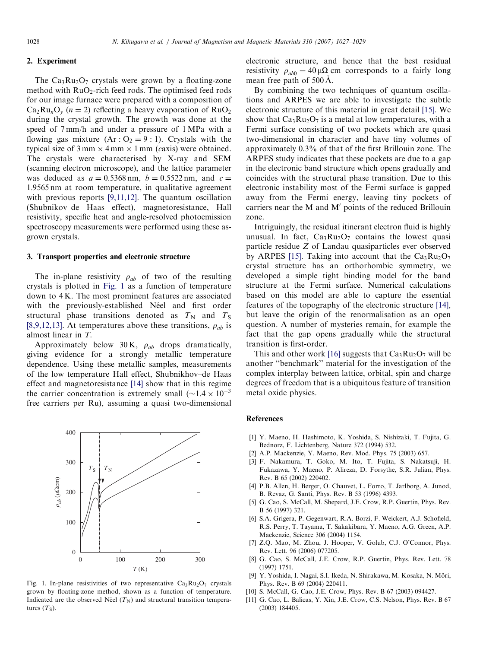## <span id="page-1-0"></span>2. Experiment

The  $Ca_3Ru_2O_7$  crystals were grown by a floating-zone method with  $RuO<sub>2</sub>$ -rich feed rods. The optimised feed rods for our image furnace were prepared with a composition of  $Ca_2Ru_nO_v$  (*n* = 2) reflecting a heavy evaporation of  $RuO_2$ during the crystal growth. The growth was done at the speed of 7 mm/h and under a pressure of 1 MPa with a flowing gas mixture  $(Ar: O_2 = 9:1)$ . Crystals with the typical size of  $3 \text{ mm} \times 4 \text{ mm} \times 1 \text{ mm}$  (caxis) were obtained. The crystals were characterised by X-ray and SEM (scanning electron microscope), and the lattice parameter was deduced as  $a = 0.5368$  nm,  $b = 0.5522$  nm, and  $c =$ 1:9565 nm at room temperature, in qualitative agreement with previous reports [9,11,12]. The quantum oscillation (Shubnikov–de Haas effect), magnetoresistance, Hall resistivity, specific heat and angle-resolved photoemission spectroscopy measurements were performed using these asgrown crystals.

### 3. Transport properties and electronic structure

The in-plane resistivity  $\rho_{ab}$  of two of the resulting crystals is plotted in Fig. 1 as a function of temperature down to 4 K. The most prominent features are associated with the previously-established Néel and first order structural phase transitions denoted as  $T_N$  and  $T_S$ [8,9,12,13]. At temperatures above these transitions,  $\rho_{ab}$  is almost linear in T.

Approximately below 30 K,  $\rho_{ab}$  drops dramatically, giving evidence for a strongly metallic temperature dependence. Using these metallic samples, measurements of the low temperature Hall effect, Shubnikhov–de Haas effect and magnetoresistance [\[14\]](#page-2-0) show that in this regime the carrier concentration is extremely small  $({\sim}1.4 \times 10^{-3}$ free carriers per Ru), assuming a quasi two-dimensional



Fig. 1. In-plane resistivities of two representative  $Ca_3Ru_2O_7$  crystals grown by floating-zone method, shown as a function of temperature. Indicated are the observed Néel  $(T_N)$  and structural transition temperatures  $(T<sub>S</sub>)$ .

electronic structure, and hence that the best residual resistivity  $\rho_{ab0} = 40 \mu \Omega$  cm corresponds to a fairly long mean free path of  $500 \text{\AA}$ .

By combining the two techniques of quantum oscillations and ARPES we are able to investigate the subtle electronic structure of this material in great detail [\[15\].](#page-2-0) We show that  $Ca<sub>3</sub>Ru<sub>2</sub>O<sub>7</sub>$  is a metal at low temperatures, with a Fermi surface consisting of two pockets which are quasi two-dimensional in character and have tiny volumes of approximately 0.3% of that of the first Brillouin zone. The ARPES study indicates that these pockets are due to a gap in the electronic band structure which opens gradually and coincides with the structural phase transition. Due to this electronic instability most of the Fermi surface is gapped away from the Fermi energy, leaving tiny pockets of carriers near the M and  $M'$  points of the reduced Brillouin zone.

Intriguingly, the residual itinerant electron fluid is highly unusual. In fact,  $Ca_3Ru_2O_7$  contains the lowest quasi particle residue Z of Landau quasiparticles ever observed by ARPES [\[15\]](#page-2-0). Taking into account that the  $Ca<sub>3</sub>Ru<sub>2</sub>O<sub>7</sub>$ crystal structure has an orthorhombic symmetry, we developed a simple tight binding model for the band structure at the Fermi surface. Numerical calculations based on this model are able to capture the essential features of the topography of the electronic structure [\[14\]](#page-2-0), but leave the origin of the renormalisation as an open question. A number of mysteries remain, for example the fact that the gap opens gradually while the structural transition is first-order.

This and other work [\[16\]](#page-2-0) suggests that  $Ca<sub>3</sub>Ru<sub>2</sub>O<sub>7</sub>$  will be another ''benchmark'' material for the investigation of the complex interplay between lattice, orbital, spin and charge degrees of freedom that is a ubiquitous feature of transition metal oxide physics.

## References

- [1] Y. Maeno, H. Hashimoto, K. Yoshida, S. Nishizaki, T. Fujita, G. Bednorz, F. Lichtenberg, Nature 372 (1994) 532.
- [2] A.P. Mackenzie, Y. Maeno, Rev. Mod. Phys. 75 (2003) 657.
- [3] F. Nakamura, T. Goko, M. Ito, T. Fujita, S. Nakatsuji, H. Fukazawa, Y. Maeno, P. Alireza, D. Forsythe, S.R. Julian, Phys. Rev. B 65 (2002) 220402.
- [4] P.B. Allen, H. Berger, O. Chauvet, L. Forro, T. Jarlborg, A. Junod, B. Revaz, G. Santi, Phys. Rev. B 53 (1996) 4393.
- [5] G. Cao, S. McCall, M. Shepard, J.E. Crow, R.P. Guertin, Phys. Rev. B 56 (1997) 321.
- [6] S.A. Grigera, P. Gegenwart, R.A. Borzi, F. Weickert, A.J. Schofield, R.S. Perry, T. Tayama, T. Sakakibara, Y. Maeno, A.G. Green, A.P. Mackenzie, Science 306 (2004) 1154.
- [7] Z.Q. Mao, M. Zhou, J. Hooper, V. Golub, C.J. O'Connor, Phys. Rev. Lett. 96 (2006) 077205.
- [8] G. Cao, S. McCall, J.E. Crow, R.P. Guertin, Phys. Rev. Lett. 78 (1997) 1751.
- [9] Y. Yoshida, I. Nagai, S.I. Ikeda, N. Shirakawa, M. Kosaka, N. Moˆri, Phys. Rev. B 69 (2004) 220411.
- [10] S. McCall, G. Cao, J.E. Crow, Phys. Rev. B 67 (2003) 094427.
- [11] G. Cao, L. Balicas, Y. Xin, J.E. Crow, C.S. Nelson, Phys. Rev. B 67 (2003) 184405.